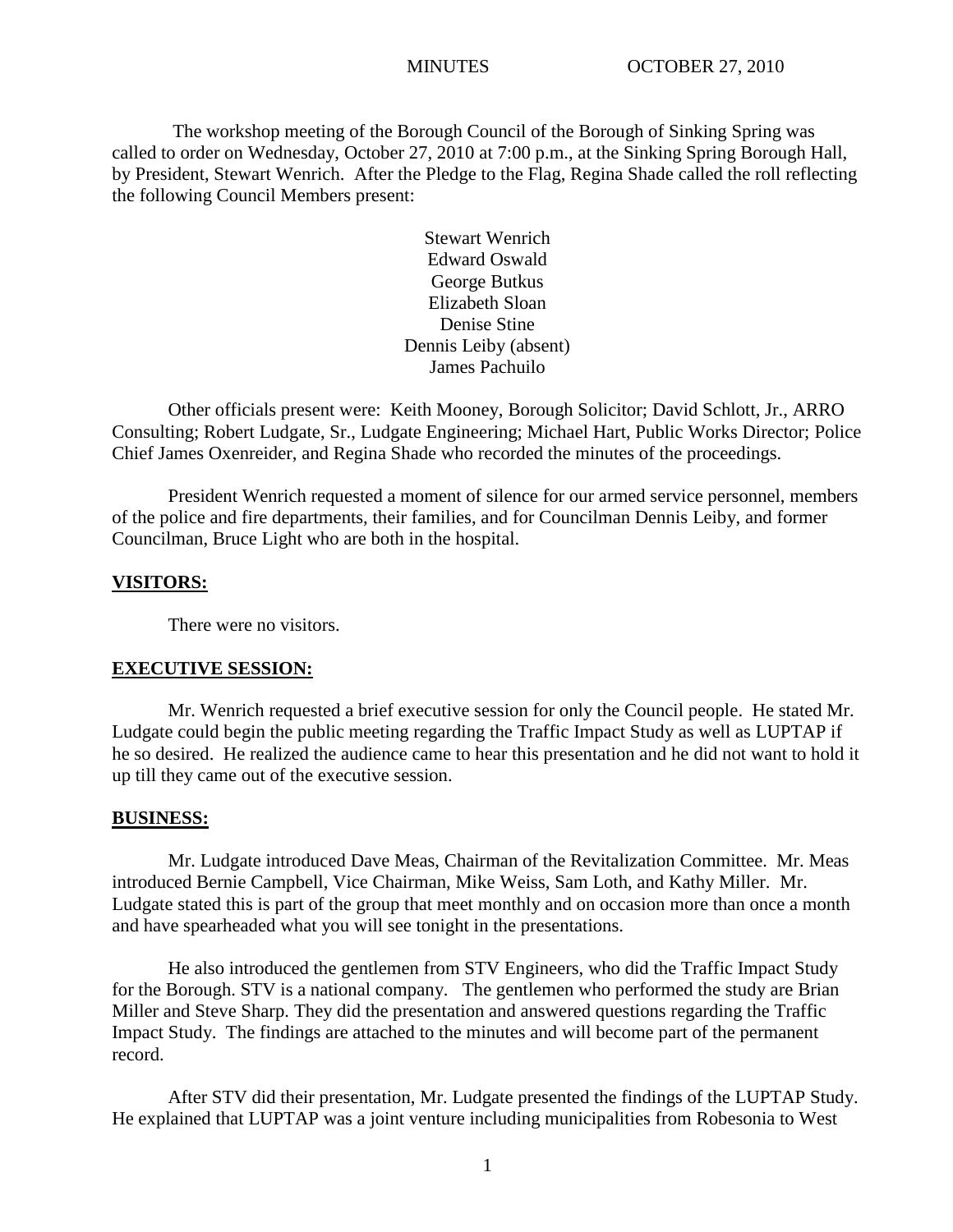The workshop meeting of the Borough Council of the Borough of Sinking Spring was called to order on Wednesday, October 27, 2010 at 7:00 p.m., at the Sinking Spring Borough Hall, by President, Stewart Wenrich. After the Pledge to the Flag, Regina Shade called the roll reflecting the following Council Members present:

> Stewart Wenrich Edward Oswald George Butkus Elizabeth Sloan Denise Stine Dennis Leiby (absent) James Pachuilo

Other officials present were: Keith Mooney, Borough Solicitor; David Schlott, Jr., ARRO Consulting; Robert Ludgate, Sr., Ludgate Engineering; Michael Hart, Public Works Director; Police Chief James Oxenreider, and Regina Shade who recorded the minutes of the proceedings.

President Wenrich requested a moment of silence for our armed service personnel, members of the police and fire departments, their families, and for Councilman Dennis Leiby, and former Councilman, Bruce Light who are both in the hospital.

#### **VISITORS:**

There were no visitors.

#### **EXECUTIVE SESSION:**

Mr. Wenrich requested a brief executive session for only the Council people. He stated Mr. Ludgate could begin the public meeting regarding the Traffic Impact Study as well as LUPTAP if he so desired. He realized the audience came to hear this presentation and he did not want to hold it up till they came out of the executive session.

#### **BUSINESS:**

Mr. Ludgate introduced Dave Meas, Chairman of the Revitalization Committee. Mr. Meas introduced Bernie Campbell, Vice Chairman, Mike Weiss, Sam Loth, and Kathy Miller. Mr. Ludgate stated this is part of the group that meet monthly and on occasion more than once a month and have spearheaded what you will see tonight in the presentations.

He also introduced the gentlemen from STV Engineers, who did the Traffic Impact Study for the Borough. STV is a national company. The gentlemen who performed the study are Brian Miller and Steve Sharp. They did the presentation and answered questions regarding the Traffic Impact Study. The findings are attached to the minutes and will become part of the permanent record.

After STV did their presentation, Mr. Ludgate presented the findings of the LUPTAP Study. He explained that LUPTAP was a joint venture including municipalities from Robesonia to West